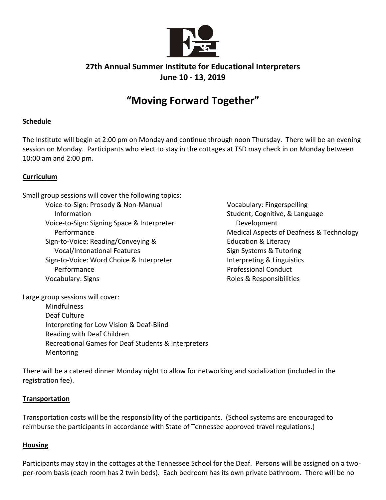

### **27th Annual Summer Institute for Educational Interpreters June 10 - 13, 2019**

## **"Moving Forward Together"**

#### **Schedule**

The Institute will begin at 2:00 pm on Monday and continue through noon Thursday. There will be an evening session on Monday. Participants who elect to stay in the cottages at TSD may check in on Monday between 10:00 am and 2:00 pm.

#### **Curriculum**

Small group sessions will cover the following topics: Voice-to-Sign: Prosody & Non-Manual Information Voice-to-Sign: Signing Space & Interpreter Performance Sign-to-Voice: Reading/Conveying & Vocal/Intonational Features Sign-to-Voice: Word Choice & Interpreter Performance Vocabulary: Signs

Vocabulary: Fingerspelling Student, Cognitive, & Language Development Medical Aspects of Deafness & Technology Education & Literacy Sign Systems & Tutoring Interpreting & Linguistics Professional Conduct Roles & Responsibilities

Large group sessions will cover:

Mindfulness Deaf Culture Interpreting for Low Vision & Deaf-Blind Reading with Deaf Children Recreational Games for Deaf Students & Interpreters Mentoring

There will be a catered dinner Monday night to allow for networking and socialization (included in the registration fee).

#### **Transportation**

Transportation costs will be the responsibility of the participants. (School systems are encouraged to reimburse the participants in accordance with State of Tennessee approved travel regulations.)

#### **Housing**

Participants may stay in the cottages at the Tennessee School for the Deaf. Persons will be assigned on a twoper-room basis (each room has 2 twin beds). Each bedroom has its own private bathroom. There will be no